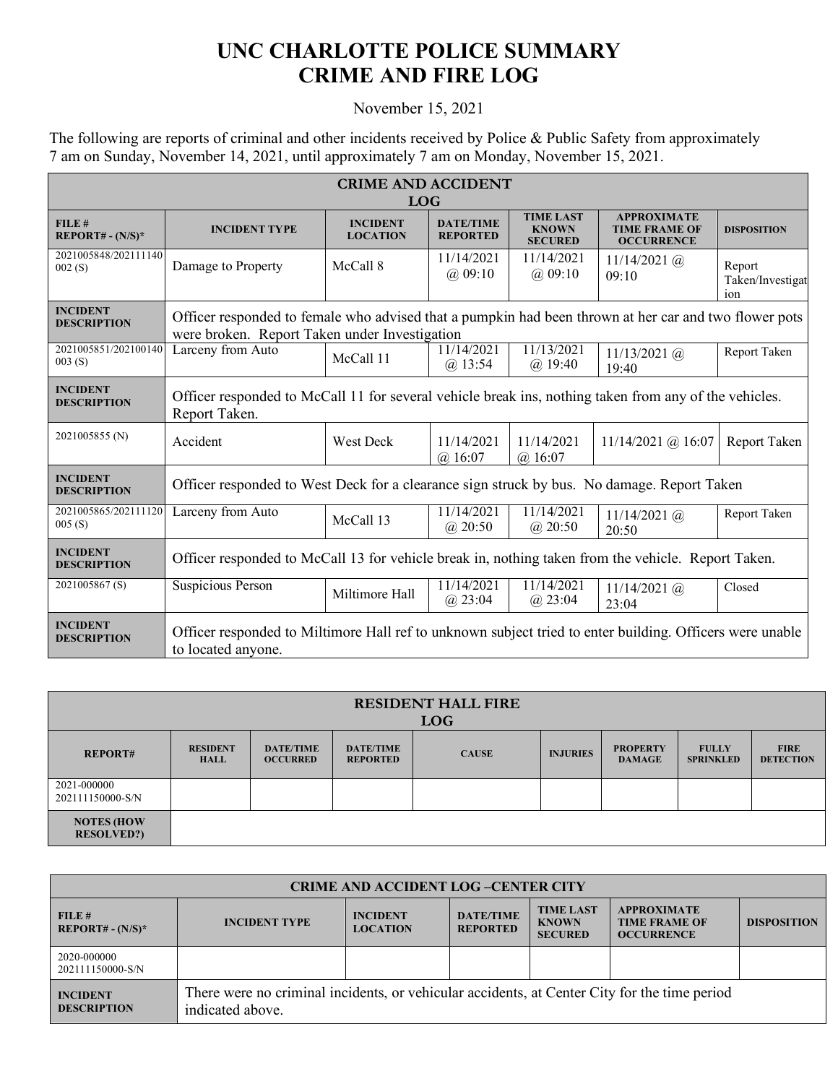## **UNC CHARLOTTE POLICE SUMMARY CRIME AND FIRE LOG**

## November 15, 2021

The following are reports of criminal and other incidents received by Police & Public Safety from approximately 7 am on Sunday, November 14, 2021, until approximately 7 am on Monday, November 15, 2021.

| <b>CRIME AND ACCIDENT</b><br><b>LOG</b> |                                                                                                                                                        |                                    |                                     |                                                    |                                                                 |                                   |  |
|-----------------------------------------|--------------------------------------------------------------------------------------------------------------------------------------------------------|------------------------------------|-------------------------------------|----------------------------------------------------|-----------------------------------------------------------------|-----------------------------------|--|
| FILE#<br>$REPORT# - (N/S)*$             | <b>INCIDENT TYPE</b>                                                                                                                                   | <b>INCIDENT</b><br><b>LOCATION</b> | <b>DATE/TIME</b><br><b>REPORTED</b> | <b>TIME LAST</b><br><b>KNOWN</b><br><b>SECURED</b> | <b>APPROXIMATE</b><br><b>TIME FRAME OF</b><br><b>OCCURRENCE</b> | <b>DISPOSITION</b>                |  |
| 2021005848/202111140<br>002(S)          | Damage to Property                                                                                                                                     | McCall 8                           | 11/14/2021<br>$(a)$ 09:10           | 11/14/2021<br>$(a)$ 09:10                          | $11/14/2021$ (a)<br>09:10                                       | Report<br>Taken/Investigat<br>ion |  |
| <b>INCIDENT</b><br><b>DESCRIPTION</b>   | Officer responded to female who advised that a pumpkin had been thrown at her car and two flower pots<br>were broken. Report Taken under Investigation |                                    |                                     |                                                    |                                                                 |                                   |  |
| 2021005851/202100140<br>003(S)          | Larceny from Auto                                                                                                                                      | McCall 11                          | 11/14/2021<br>$(a)$ 13:54           | 11/13/2021<br>$(a)$ 19:40                          | $11/13/2021$ (a)<br>19:40                                       | Report Taken                      |  |
| <b>INCIDENT</b><br><b>DESCRIPTION</b>   | Officer responded to McCall 11 for several vehicle break ins, nothing taken from any of the vehicles.<br>Report Taken.                                 |                                    |                                     |                                                    |                                                                 |                                   |  |
| 2021005855 (N)                          | Accident                                                                                                                                               | <b>West Deck</b>                   | 11/14/2021<br>$(a)$ 16:07           | 11/14/2021<br>$(a)$ 16:07                          | $11/14/2021$ @ 16:07                                            | Report Taken                      |  |
| <b>INCIDENT</b><br><b>DESCRIPTION</b>   | Officer responded to West Deck for a clearance sign struck by bus. No damage. Report Taken                                                             |                                    |                                     |                                                    |                                                                 |                                   |  |
| 2021005865/202111120<br>005(S)          | Larceny from Auto                                                                                                                                      | McCall 13                          | 11/14/2021<br>$(a)$ 20:50           | 11/14/2021<br>$(a)$ 20:50                          | $11/14/2021$ (a)<br>20:50                                       | Report Taken                      |  |
| <b>INCIDENT</b><br><b>DESCRIPTION</b>   | Officer responded to McCall 13 for vehicle break in, nothing taken from the vehicle. Report Taken.                                                     |                                    |                                     |                                                    |                                                                 |                                   |  |
| 2021005867(S)                           | Suspicious Person                                                                                                                                      | Miltimore Hall                     | 11/14/2021<br>$(a)$ 23:04           | 11/14/2021<br>$(a)$ 23:04                          | $11/14/2021$ (a)<br>23:04                                       | Closed                            |  |
| <b>INCIDENT</b><br><b>DESCRIPTION</b>   | Officer responded to Miltimore Hall ref to unknown subject tried to enter building. Officers were unable<br>to located anyone.                         |                                    |                                     |                                                    |                                                                 |                                   |  |

| <b>RESIDENT HALL FIRE</b><br><b>LOG</b> |                                |                                     |                                     |              |                 |                                  |                                  |                                 |
|-----------------------------------------|--------------------------------|-------------------------------------|-------------------------------------|--------------|-----------------|----------------------------------|----------------------------------|---------------------------------|
| <b>REPORT#</b>                          | <b>RESIDENT</b><br><b>HALL</b> | <b>DATE/TIME</b><br><b>OCCURRED</b> | <b>DATE/TIME</b><br><b>REPORTED</b> | <b>CAUSE</b> | <b>INJURIES</b> | <b>PROPERTY</b><br><b>DAMAGE</b> | <b>FULLY</b><br><b>SPRINKLED</b> | <b>FIRE</b><br><b>DETECTION</b> |
| 2021-000000<br>202111150000-S/N         |                                |                                     |                                     |              |                 |                                  |                                  |                                 |
| <b>NOTES (HOW</b><br><b>RESOLVED?)</b>  |                                |                                     |                                     |              |                 |                                  |                                  |                                 |

| <b>CRIME AND ACCIDENT LOG-CENTER CITY</b> |                                                                                                                  |                                    |                                     |                                                    |                                                                 |                    |  |
|-------------------------------------------|------------------------------------------------------------------------------------------------------------------|------------------------------------|-------------------------------------|----------------------------------------------------|-----------------------------------------------------------------|--------------------|--|
| FILE#<br>$REPORT# - (N/S)*$               | <b>INCIDENT TYPE</b>                                                                                             | <b>INCIDENT</b><br><b>LOCATION</b> | <b>DATE/TIME</b><br><b>REPORTED</b> | <b>TIME LAST</b><br><b>KNOWN</b><br><b>SECURED</b> | <b>APPROXIMATE</b><br><b>TIME FRAME OF</b><br><b>OCCURRENCE</b> | <b>DISPOSITION</b> |  |
| 2020-000000<br>202111150000-S/N           |                                                                                                                  |                                    |                                     |                                                    |                                                                 |                    |  |
| <b>INCIDENT</b><br><b>DESCRIPTION</b>     | There were no criminal incidents, or vehicular accidents, at Center City for the time period<br>indicated above. |                                    |                                     |                                                    |                                                                 |                    |  |